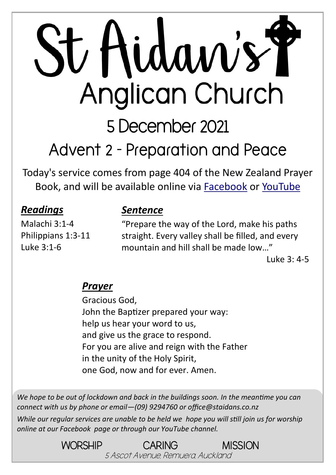# St Aidan's Y Anglican Church

5 December 2021

**Advent 2 - Preparation and Peace**

Today's service comes from page 404 of the New Zealand Prayer Book, and will be available online via [Facebook](https://www.facebook.com/StAidansRemuera/) or [YouTube](https://www.youtube.com/channel/UCp1KTUD3GRs20GGAFeAZ7fQ)

#### *Readings*

Malachi 3:1-4 Philippians 1:3-11 Luke 3:1-6

#### *Sentence*

"Prepare the way of the Lord, make his paths straight. Every valley shall be filled, and every mountain and hill shall be made low…"

Luke 3: 4-5

#### *Prayer*

Gracious God, John the Baptizer prepared your way: help us hear your word to us, and give us the grace to respond. For you are alive and reign with the Father in the unity of the Holy Spirit, one God, now and for ever. Amen.

*We hope to be out of lockdown and back in the buildings soon. In the meantime you can connect with us by phone or email—(09) 9294760 or office@staidans.co.nz*

*While our regular services are unable to be held we hope you will still join us for worship online at our Facebook page or through our YouTube channel.*

> WORSHIP CARING MISSION 5 Ascot Avenue, Remuera, Auckland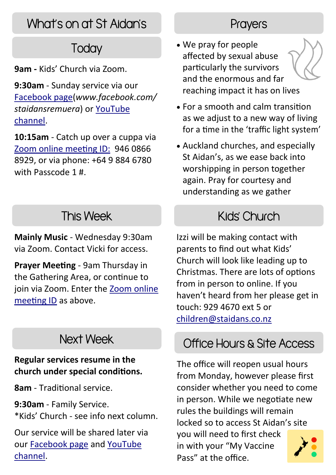# What's on at St Aidan's

# **Today**

**9am -** Kids' Church via Zoom.

**9:30am** - Sunday service via our [Facebook page\(](https://www.facebook.com/StAidansRemuera/)*www.facebook.com/ staidansremuera*) or [YouTube](https://www.youtube.com/channel/UCp1KTUD3GRs20GGAFeAZ7fQ)  [channel.](https://www.youtube.com/channel/UCp1KTUD3GRs20GGAFeAZ7fQ)

**10:15am** - Catch up over a cuppa via [Zoom online meeting ID:](https://zoom.us/j/94608668929?pwd=TkZLeU1MY2d5eUpqeTJ5WUJTRHlVUT09) 946 0866 8929, or via phone: +64 9 884 6780 with Passcode 1 #.

# This Week

**Mainly Music** - Wednesday 9:30am via Zoom. Contact Vicki for access.

**Prayer Meeting** - 9am Thursday in the Gathering Area, or continue to join via Zoom. Enter the [Zoom online](https://zoom.us/j/94608668929?pwd=TkZLeU1MY2d5eUpqeTJ5WUJTRHlVUT09)  [meeting ID](https://zoom.us/j/94608668929?pwd=TkZLeU1MY2d5eUpqeTJ5WUJTRHlVUT09) as above.

### Next Week

#### **Regular services resume in the church under special conditions.**

**8am** - Traditional service.

**9:30am** - Family Service. \*Kids' Church - see info next column.

Our service will be shared later via our [Facebook page](https://www.facebook.com/StAidansRemuera/) and [YouTube](https://www.youtube.com/channel/UCp1KTUD3GRs20GGAFeAZ7fQ)  [channel.](https://www.youtube.com/channel/UCp1KTUD3GRs20GGAFeAZ7fQ)

#### **Prayers**

- We pray for people affected by sexual abuse particularly the survivors and the enormous and far reaching impact it has on lives
- For a smooth and calm transition as we adjust to a new way of living for a time in the 'traffic light system'
- Auckland churches, and especially St Aidan's, as we ease back into worshipping in person together again. Pray for courtesy and understanding as we gather

# Kids' Church

Izzi will be making contact with parents to find out what Kids' Church will look like leading up to Christmas. There are lots of options from in person to online. If you haven't heard from her please get in touch: 929 4670 ext 5 or [children@staidans.co.nz](mailto:children@staidans.co.nz?subject=Kids) 

## Office Hours & Site Access

The office will reopen usual hours from Monday, however please first consider whether you need to come in person. While we negotiate new rules the buildings will remain locked so to access St Aidan's site you will need to first check in with your "My Vaccine Pass" at the office.

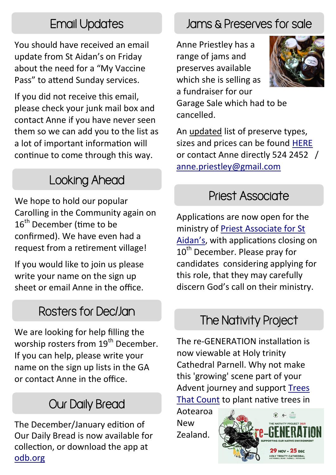## Email Updates

You should have received an email update from St Aidan's on Friday about the need for a "My Vaccine Pass" to attend Sunday services.

If you did not receive this email, please check your junk mail box and contact Anne if you have never seen them so we can add you to the list as a lot of important information will continue to come through this way.

## Looking Ahead

We hope to hold our popular Carolling in the Community again on 16<sup>th</sup> December (time to be confirmed). We have even had a request from a retirement village!

If you would like to join us please write your name on the sign up sheet or email Anne in the office.

#### Rosters for Dec/Jan

We are looking for help filling the worship rosters from 19<sup>th</sup> December. If you can help, please write your name on the sign up lists in the GA or contact Anne in the office.

# Our Daily Bread

The December/January edition of Our Daily Bread is now available for collection, or download the app at [odb.org](https://odb.org/)

# Jams & Preserves for sale

Anne Priestley has a range of jams and preserves available which she is selling as a fundraiser for our



Garage Sale which had to be cancelled.

An updated list of preserve types, sizes and prices can be found [HERE](https://www.staidans.co.nz/wp-content/uploads/2021/11/Preserves-Nov-2021.pdf) or contact Anne directly 524 2452 / [anne.priestley@gmail.com](mailto:anne.priestley@gmail.com?subject=Preserves)

#### Priest Associate

Applications are now open for the ministry of [Priest Associate for St](https://aucklandanglican.org.nz/ministry-opportunities/priest-associate-st-aidans-remuera/)  [Aidan's,](https://aucklandanglican.org.nz/ministry-opportunities/priest-associate-st-aidans-remuera/) with applications closing on 10<sup>th</sup> December. Please pray for candidates considering applying for this role, that they may carefully discern God's call on their ministry.

#### The Nativity Project

The re-GENERATION installation is now viewable at Holy trinity Cathedral Parnell. Why not make this 'growing' scene part of your Advent journey and support [Trees](https://www.facebook.com/TreesThatCount/?__cft__%5b0%5d=AZUvz5DYVdO_XmxkFMcgiALCHjeWGy7aIzfUdubee2SgfsWi1Cv1HHQZj0hcebmmPC6BtP0KdSPMoet2Lm28aT9cospTXI9RXvZex2-l4g65hGsodS2vacnujbqKKzkZ--tEvDjHRtMw6rIgjoRcYTfCJWHR2LbtOaN-iZEsT2QOQA&__tn__=kK-R)  [That Count](https://www.facebook.com/TreesThatCount/?__cft__%5b0%5d=AZUvz5DYVdO_XmxkFMcgiALCHjeWGy7aIzfUdubee2SgfsWi1Cv1HHQZj0hcebmmPC6BtP0KdSPMoet2Lm28aT9cospTXI9RXvZex2-l4g65hGsodS2vacnujbqKKzkZ--tEvDjHRtMw6rIgjoRcYTfCJWHR2LbtOaN-iZEsT2QOQA&__tn__=kK-R) to plant native trees in

Aotearoa New Zealand.